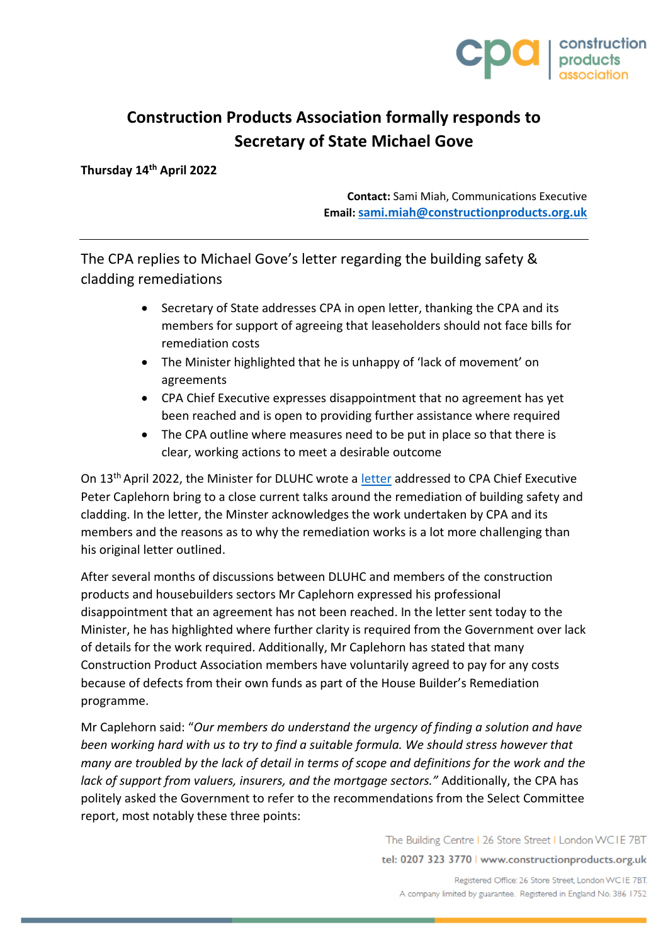

## **Construction Products Association formally responds to Secretary of State Michael Gove**

**Thursday 14th April 2022**

**Contact:** Sami Miah, Communications Executive **Email:[sami.miah@constructionproducts.org.uk](mailto:sami.miah@constructionproducts.org.uk)**

The CPA replies to Michael Gove's letter regarding the building safety & cladding remediations

- Secretary of State addresses CPA in open letter, thanking the CPA and its members for support of agreeing that leaseholders should not face bills for remediation costs
- The Minister highlighted that he is unhappy of 'lack of movement' on agreements
- CPA Chief Executive expresses disappointment that no agreement has yet been reached and is open to providing further assistance where required
- The CPA outline where measures need to be put in place so that there is clear, working actions to meet a desirable outcome

On 13th April 2022, the Minister for DLUHC wrote a [letter](https://assets.publishing.service.gov.uk/government/uploads/system/uploads/attachment_data/file/1068866/13.04.2022_Letter_to_Construction_Products_Association.pdf) addressed to CPA Chief Executive Peter Caplehorn bring to a close current talks around the remediation of building safety and cladding. In the letter, the Minster acknowledges the work undertaken by CPA and its members and the reasons as to why the remediation works is a lot more challenging than his original letter outlined.

After several months of discussions between DLUHC and members of the construction products and housebuilders sectors Mr Caplehorn expressed his professional disappointment that an agreement has not been reached. In the letter sent today to the Minister, he has highlighted where further clarity is required from the Government over lack of details for the work required. Additionally, Mr Caplehorn has stated that many Construction Product Association members have voluntarily agreed to pay for any costs because of defects from their own funds as part of the House Builder's Remediation programme.

Mr Caplehorn said: "*Our members do understand the urgency of finding a solution and have been working hard with us to try to find a suitable formula. We should stress however that many are troubled by the lack of detail in terms of scope and definitions for the work and the lack of support from valuers, insurers, and the mortgage sectors."* Additionally, the CPA has politely asked the Government to refer to the recommendations from the Select Committee report, most notably these three points:

The Building Centre | 26 Store Street | London WCIE 7BT

tel: 0207 323 3770 | www.constructionproducts.org.uk

Registered Office: 26 Store Street, London WCIE 7BT. A company limited by guarantee. Registered in England No. 386 1752